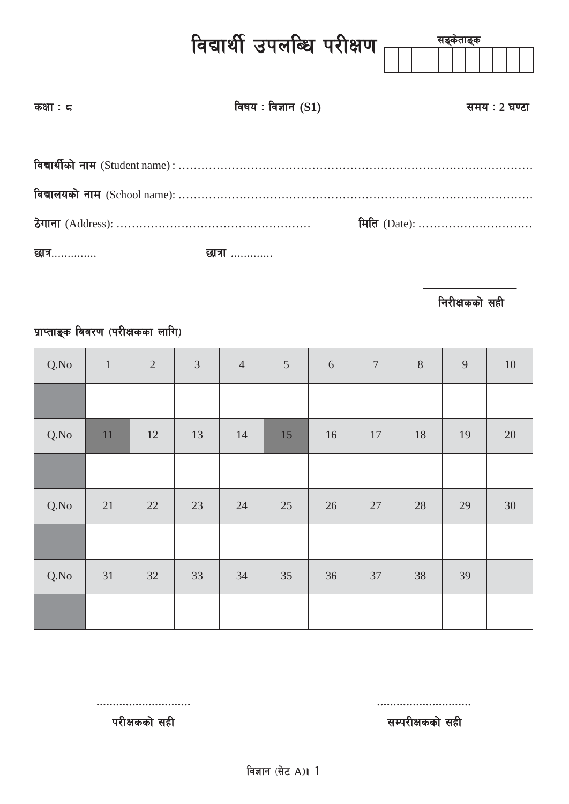|            | विद्यार्थी उपलब्धि परीक्षण <sub>∏∏</sub> | सङ्केताङ्क    |
|------------|------------------------------------------|---------------|
| कक्षा : द  | विषय: विज्ञान $(S1)$                     | समय : 2 घण्टा |
|            |                                          |               |
|            |                                          |               |
|            |                                          | मिति (Date):  |
| छात्र…………. | छात्रा …………                              |               |

**निरीक्षकको सही** 

## प्राप्ताङ्क विवरण (परीक्षकका लागि)

| Q.No | $\mathbf{1}$ | $\sqrt{2}$ | $\mathfrak{Z}$ | $\sqrt{4}$ | $\overline{5}$ | 6  | $7\phantom{.0}$ | $\, 8$ | $\overline{9}$ | $10\,$ |
|------|--------------|------------|----------------|------------|----------------|----|-----------------|--------|----------------|--------|
|      |              |            |                |            |                |    |                 |        |                |        |
| Q.No | 11           | 12         | 13             | 14         | 15             | 16 | 17              | 18     | 19             | $20\,$ |
|      |              |            |                |            |                |    |                 |        |                |        |
| Q.No | 21           | 22         | 23             | 24         | 25             | 26 | 27              | 28     | 29             | 30     |
|      |              |            |                |            |                |    |                 |        |                |        |
| Q.No | 31           | 32         | 33             | 34         | 35             | 36 | 37              | 38     | 39             |        |
|      |              |            |                |            |                |    |                 |        |                |        |

============================= =============================

परीक्षकको सही $\overline{\mathbf{r}}$ परीक्षकको सही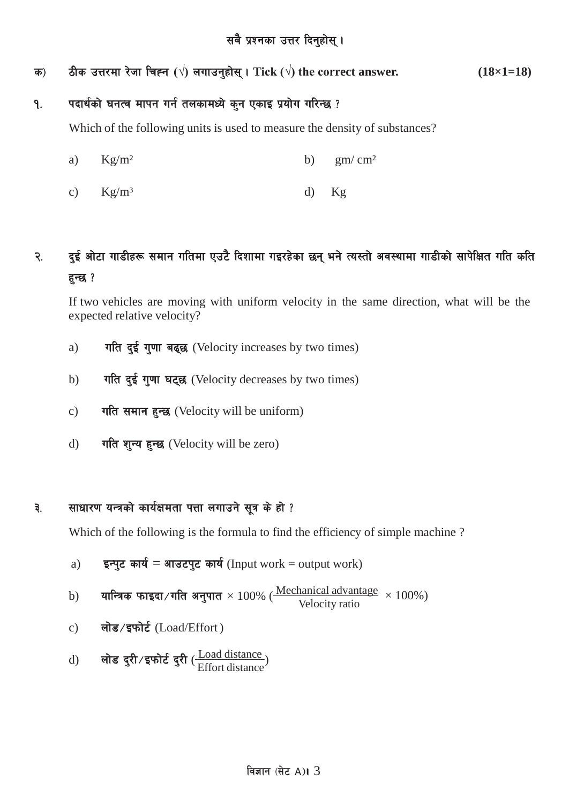क) ठीक उत्तरमा रेजा चिह्न ( $\sqrt{ }$ ) लगाउनुहोस् । Tick ( $\sqrt{ }$ ) the correct answer.  $(18\times1=18)$ 

### १. यदार्थको घनत्व मापन गर्न तलकामध्ये कुन एकाइ प्रयोग गरिन्छ ?

Which of the following units is used to measure the density of substances?

- a)  $Kg/m^2$  b)  $gm/cm^2$
- c)  $Kg/m<sup>3</sup>$  d)  $Kg$

## २. दुई ओटा गाडीहरू समान गतिमा एउटै दिशामा गइरहेका छन् भने त्यस्तो अवस्थामा गाडीको सापेक्षित गति कति हुन्छ ?

If two vehicles are moving with uniform velocity in the same direction, what will be the expected relative velocity?

- a)  $\pi$   $\pi$   $\frac{1}{2}$   $\frac{1}{2}$   $\frac{1}{2}$   $\frac{1}{2}$   $\frac{1}{2}$   $\frac{1}{2}$   $\frac{1}{2}$   $\frac{1}{2}$   $\frac{1}{2}$   $\frac{1}{2}$   $\frac{1}{2}$   $\frac{1}{2}$   $\frac{1}{2}$   $\frac{1}{2}$   $\frac{1}{2}$   $\frac{1}{2}$   $\frac{1}{2}$   $\frac{1}{2}$   $\frac{1}{2}$   $\frac{1}{2}$   $\frac{1}{2}$
- b) गति दुई गुणा घट्छ (Velocity decreases by two times)
- c) गति समान हुन्छ (Velocity will be uniform)
- d) गति शन्य हुन्छ (Velocity will be zero)

### ३. साधारण यन्त्रको कार्यक्षमता पत्ता लगाउने सूत्र के हो ?

Which of the following is the formula to find the efficiency of simple machine?

a) 
$$
\overline{\mathbf{s}}
$$
न्पुट कार्य = आउटपुट कार्य (Input work = output work)

b) oflGqs kmfObf÷ult cg'kft × 100% ( Mechanical advantage Velocity ratio × 100%)

- c) लोड/इफोर्ट (Load/Effort)
- d) लोड दुरी/इफोर्ट दुरी ( $\frac{\text{Load distance}}{\text{Effort distance}}$ )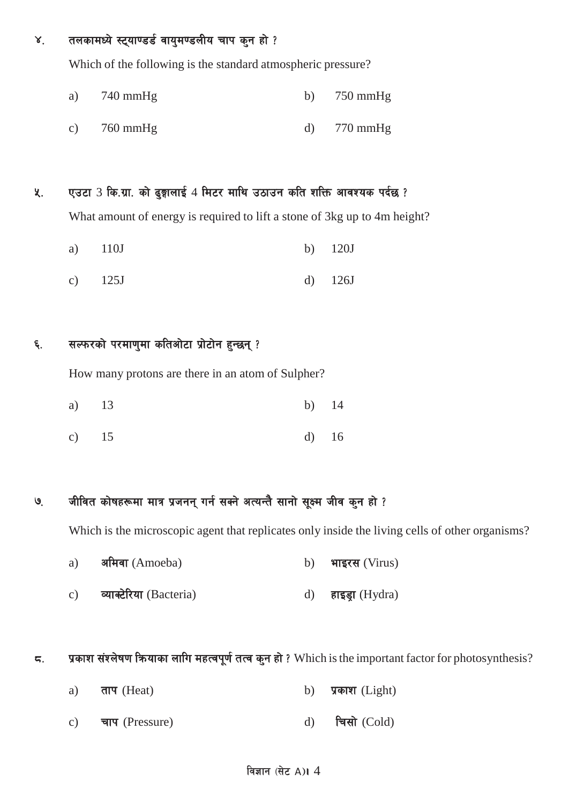#### तलकामध्ये स्ट्याण्डर्ड वायुमण्डलीय चाप कन हो ?  $\mathsf{X}^{\mathsf{A}}$

Which of the following is the standard atmospheric pressure?

- 740 mmHg 750 mmHg a) b)
- $760$  mmHg  $770$  mmHg  $c)$  $\mathbf{d}$

#### एउटा 3 कि.ग्रा. को ढ्ज्ञालाई 4 मिटर माथि उठाउन कति शक्ति आवश्यक पर्दछ ? ५.

What amount of energy is required to lift a stone of 3kg up to 4m height?

- $110J$  $120J$ a)  $b)$
- $c)$  $125J$  $\mathbf{d}$  $126J$

#### सल्फरको परमाणुमा कतिओटा प्रोटोन हुन्छन् ? ६.

How many protons are there in an atom of Sulpher?

| a) 13 |  | b) $14$ |  |
|-------|--|---------|--|
|       |  |         |  |

 $c)$ 15  $\mathbf{d}$ 16

#### जीवित कोषहरूमा मात्र प्रजनन् गर्न सक्ने अत्यन्तै सानो सूक्ष्म जीव कुन हो ?  $\mathcal{G}$

Which is the microscopic agent that replicates only inside the living cells of other organisms?

- अमिवा (Amoeba)  $a)$  $b)$ भाइरस (Virus)
- व्याक्टेरिया (Bacteria) हाइड्रा (Hydra)  $c)$  $\mathbf{d}$

#### प्रकाश संश्लेषण कियाका लागि महत्वपूर्ण तत्व कुन हो ? Which is the important factor for photosynthesis? ς.

ताप (Heat) प्रकाश (Light) a) b) चिसो (Cold) चाप (Pressure)  $\mathbf{d}$  $c)$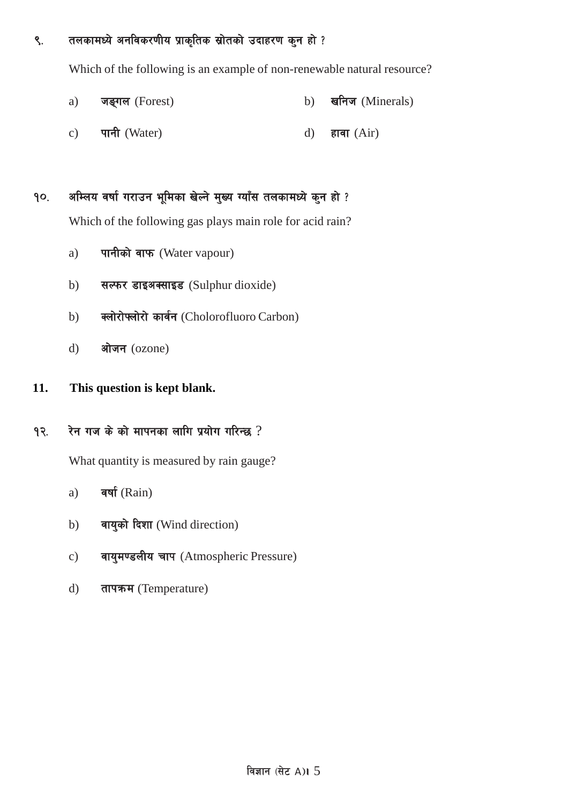९. तलकामध्ये अनविकरणीय प्राकृतिक स्रोतको उदाहरण कुन हो ?

Which of the following is an example of non-renewable natural resource?

- a) जङ्गल (Forest) b) खनिज (Minerals)
- c) पानी (Water)  $d$ ) हावा (Air)

## १०. अम्लिय वर्षा गराउन भूमिका खेल्ने मुख्य ग्याँस तलकामध्ये कुन हो ?

Which of the following gas plays main role for acid rain?

- a) पानीको वाफ (Water vapour)
- b) सल्फर डाइअक्साइड (Sulphur dioxide)
- b) क्लोरोफ्लोरो कार्वन (Cholorofluoro Carbon)
- d) ओजन (ozone)

### **11. This question is kept blank.**

### $93.$  रेन गज के को मापनका लागि प्रयोग गरिन्छ ?

What quantity is measured by rain gauge?

- a)  $\overline{\text{qq}}(Rain)$
- b) वायुको दिशा (Wind direction)
- c) वायुमण्डलीय चाप (Atmospheric Pressure)
- d) तापक्रम (Temperature)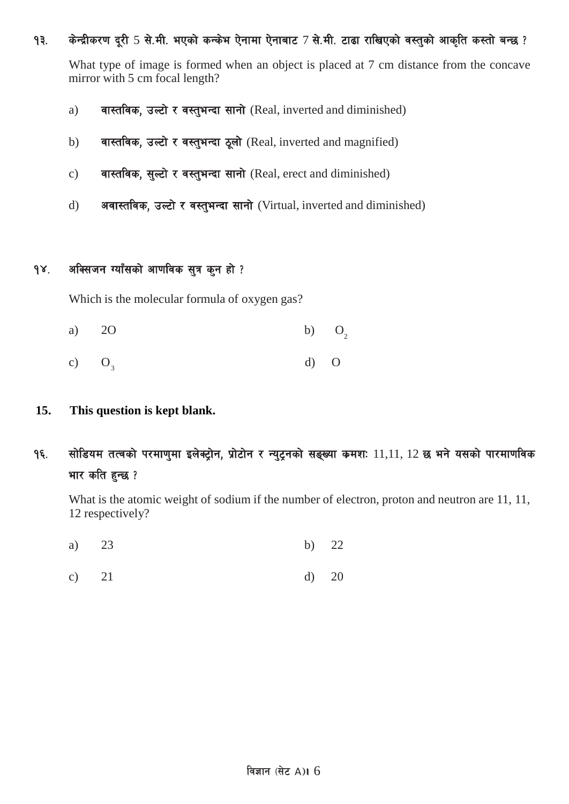#### १३. किन्द्रीकरण दुरी 5 से.मी. भएको कन्केभ ऐनामा ऐनाबाट 7 से.मी. टाढा राखिएको वस्तुको आकृति कस्तो बन्छ ?

What type of image is formed when an object is placed at 7 cm distance from the concave mirror with 5 cm focal length?

- a) वास्तविक, उल्टो र वस्तुभन्दा सानो (Real, inverted and diminished)
- b) वास्तविक, उल्टो र वस्तुभन्दा ठूलो (Real, inverted and magnified)
- c) वास्तविक, सुल्टो र वस्तुभन्दा सानो (Real, erect and diminished)
- d) अवास्तविक, उल्टो र वस्तुभन्दा सानो (Virtual, inverted and diminished)

### १४. अक्सिजन ग्याँसको आणविक सत्र कुन हो ?

Which is the molecular formula of oxygen gas?

- $O<sub>2</sub>$ a) 2O b) O
- $O<sub>3</sub>$ c)  $O_3$  d) O

#### **15. This question is kept blank.**

१६. सोडियम तत्वको परमाणुमा इलेक्ट्रोन, प्रोटोन र न्युटनको सङ्ख्या कमशः 11,11, 12 छ भने यसको पारमाणविक भार कति हुन्छ ?

What is the atomic weight of sodium if the number of electron, proton and neutron are 11, 11, 12 respectively?

- a) 23 b) 22
- c) 21 d) 20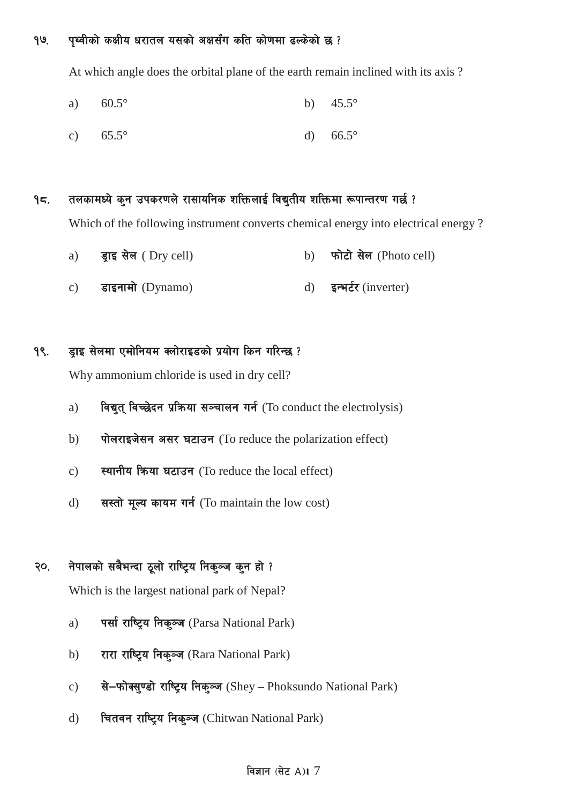#### १७. पृथ्वीको कक्षीय धरातल यसको अक्षसँग कति कोणमा ढल्केको छ ?

At which angle does the orbital plane of the earth remain inclined with its axis ?

- a)  $60.5^{\circ}$  b)  $45.5^{\circ}$
- c)  $65.5^{\circ}$  d)  $66.5^{\circ}$

### $9$ ८. तलकामध्ये कुन उपकरणले रासायनिक शक्तिलाई विद्युतीय शक्तिमा रूपान्तरण गर्छ ?

Which of the following instrument converts chemical energy into electrical energy ?

- a) इाइ सेल (Dry cell) b) फोटो सेल (Photo cell)
- c) डाइनामो (Dynamo) d) इन्भर्टर (inverter)

### 9९. इाइ सेलमा एमोनियम क्लोराइडको प्रयोग किन गरिन्छ ?

Why ammonium chloride is used in dry cell?

- a) विद्युत् विच्छेदन प्रक्रिया सञ्चालन गर्न (To conduct the electrolysis)
- b) पोलराइजेसन असर घटाउन (To reduce the polarization effect)
- c) स्थानीय किया घटाउन (To reduce the local effect)
- d) सस्तो मूल्य कायम गर्न (To maintain the low cost)

## २०. नेपालको सबैभन्दा ठूलो राष्ट्रिय निक्ञ्ज कुन हो ?

Which is the largest national park of Nepal?

- a) पर्सा राष्ट्रिय निक्<sup>5</sup>ज (Parsa National Park)
- b) रारा राष्ट्रिय निक्ञ्ज (Rara National Park)
- c) से-फोक्सुण्डो राष्ट्रिय निकुञ्ज (Shey Phoksundo National Park)
- d) वितवन राष्ट्रिय निक्ञ्ज (Chitwan National Park)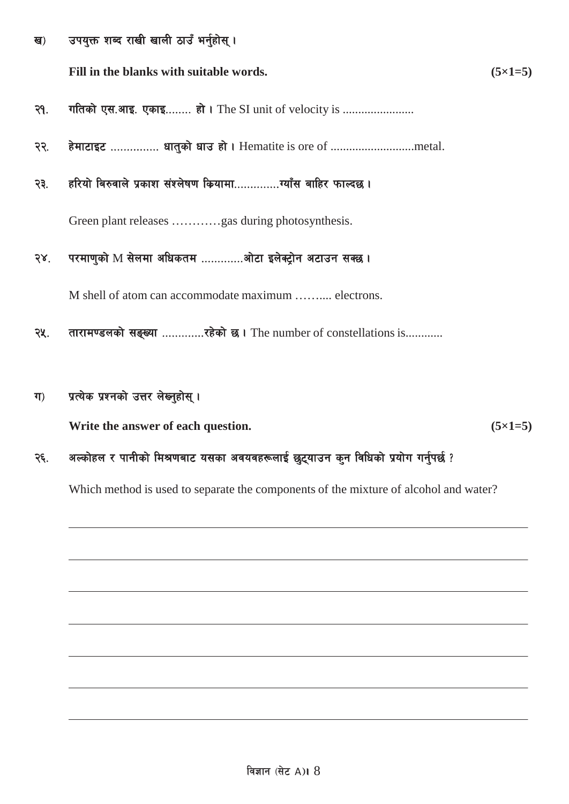उपयुक्त शब्द राखी खाली ठाउँ भर्नुहोस् । ख)

Fill in the blanks with suitable words.

 $(5\times1=5)$ 

- गतिको एस.आइ. एकाइ........ हो। The SI unit of velocity is ....................... २१.
- हेमाटाइट ............... धातुको धाउ हो। Hematite is ore of .............................metal. २२.
- हरियो बिरुवाले प्रकाश संश्लेषण कियामा...............ग्याँस बाहिर फाल्दछ । २३.

Green plant releases ............gas during photosynthesis.

परमाणुको M सेलमा अधिकतम .............औटा इलेक्ट्रोन अटाउन सक्छ।  $58^{\circ}$ 

M shell of atom can accommodate maximum .......... electrons.

- तारामण्डलको सङ्ख्या ..............रहेको छ। The number of constellations is............ २५.
- प्रत्येक प्रश्नको उत्तर लेख्नुहोस् ।  $\Pi$

Write the answer of each question.

 $(5 \times 1 = 5)$ 

#### अल्कोहल र पानीको मिश्रणबाट यसका अवयवहरूलाई छुट्याउन कुन विधिको प्रयोग गर्नुपर्छ ? २६.

Which method is used to separate the components of the mixture of alcohol and water?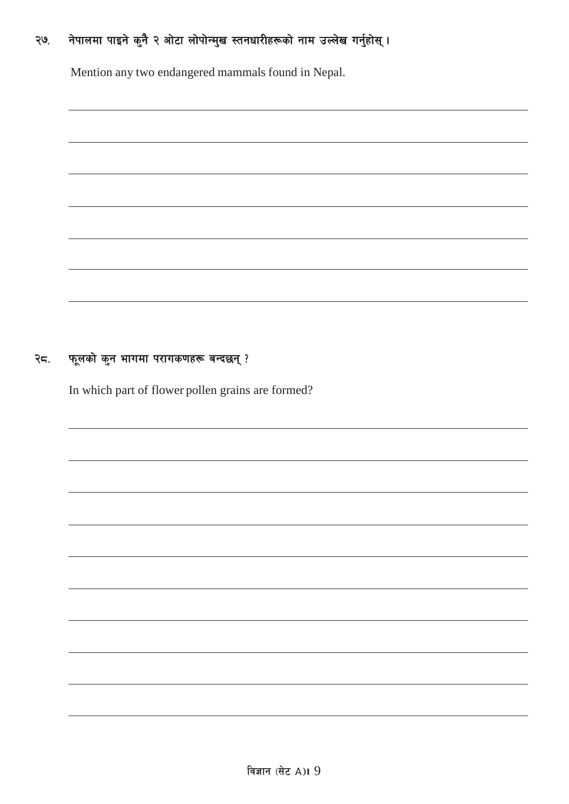## २७. नेपालमा पाइने कुनै २ ओटा लोपोन्मुख स्तनधारीहरूको नाम उल्लेख गर्नुहोस् ।

Mention any two endangered mammals found in Nepal.

### २८. फूलको कुन भागमा परागकणहरू बन्दछन् ?

In which part of flower pollen grains are formed?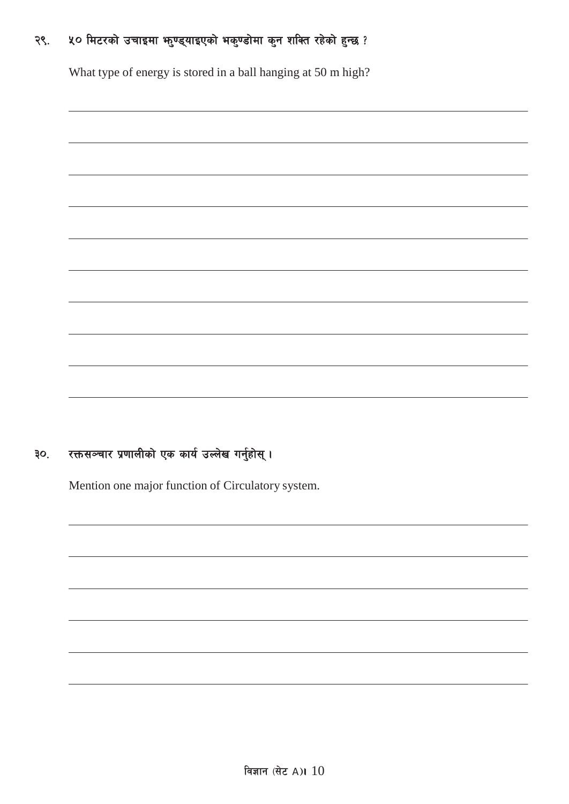#### ५० मिटरको उचाइमा भनुण्ड्याइएको भकुण्डोमा कुन शक्ति रहेको हुन्छ ? २९.

What type of energy is stored in a ball hanging at 50 m high?

#### रक्तसञ्चार प्रणालीको एक कार्य उल्लेख गर्नुहोस् । ३०.

Mention one major function of Circulatory system.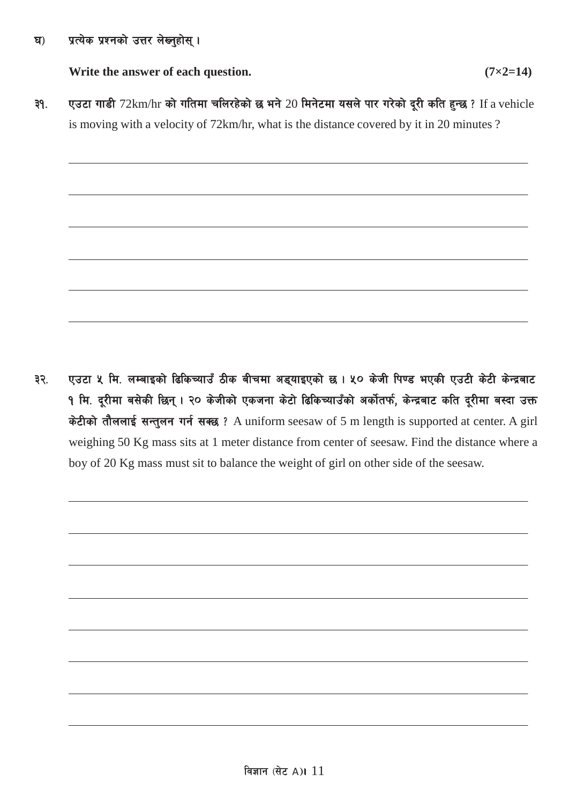### घ) प्रत्येक प्रश्नको उत्तर लेख्नुहोस् ।

**Write the answer of each question. (7×2=14)**

- 
- ३१. एउटा गाडी 72km/hr को गतिमा चलिरहेको छ भने 20 मिनेटमा यसले पार गरेको दूरी कति हुन्छ ? If a vehicle is moving with a velocity of 72km/hr, what is the distance covered by it in 20 minutes ?

३२. एउटा ५ मि. लम्बाइको ढिकिच्याउँ ठीक बीचमा अड्याइएको छ। ५० केजी पिण्ड भएकी एउटी केटी केन्द्रबाट १ मि. दूरीमा बसेकी छिन् । २० केजीको एकजना केटो ढिकिच्याउँको अर्कोतर्फ, केन्द्रबाट कति दूरीमा बस्दा उक्त केटीको तौललाई सन्तुलन गर्न सक्छ ? A uniform seesaw of 5 m length is supported at center. A girl weighing 50 Kg mass sits at 1 meter distance from center of seesaw. Find the distance where a boy of 20 Kg mass must sit to balance the weight of girl on other side of the seesaw.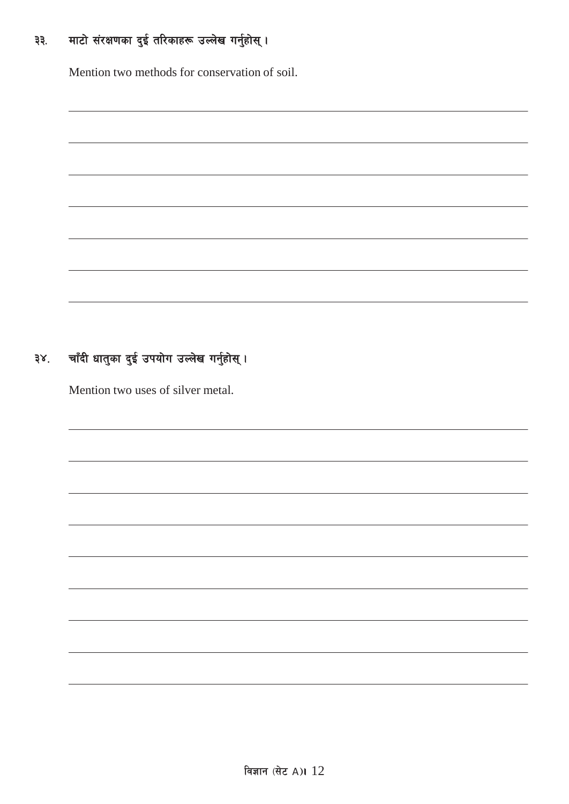#### माटो संरक्षणका दुई तरिकाहरू उल्लेख गर्नुहोस् । ३३.

Mention two methods for conservation of soil.

| the control of the control of the control of the control of the control of the control of the control of the control of the control of the control of the control of the control of the control of the control of the control |  |
|-------------------------------------------------------------------------------------------------------------------------------------------------------------------------------------------------------------------------------|--|
|                                                                                                                                                                                                                               |  |
|                                                                                                                                                                                                                               |  |
|                                                                                                                                                                                                                               |  |
|                                                                                                                                                                                                                               |  |
|                                                                                                                                                                                                                               |  |
|                                                                                                                                                                                                                               |  |
|                                                                                                                                                                                                                               |  |
|                                                                                                                                                                                                                               |  |
|                                                                                                                                                                                                                               |  |
|                                                                                                                                                                                                                               |  |
|                                                                                                                                                                                                                               |  |
|                                                                                                                                                                                                                               |  |
|                                                                                                                                                                                                                               |  |

#### चाँदी धातुका दुई उपयोग उल्लेख गर्नुहोस् । ३४.

Mention two uses of silver metal.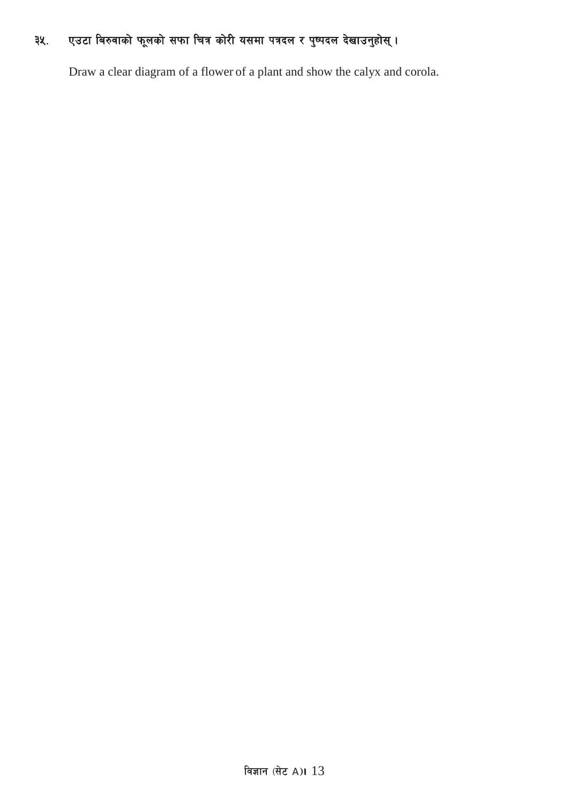#### एउटा बिरुवाको फूलको सफा चित्र कोरी यसमा पत्रदल र पुष्पदल देखाउनुहोस् । ३५.

Draw a clear diagram of a flower of a plant and show the calyx and corola.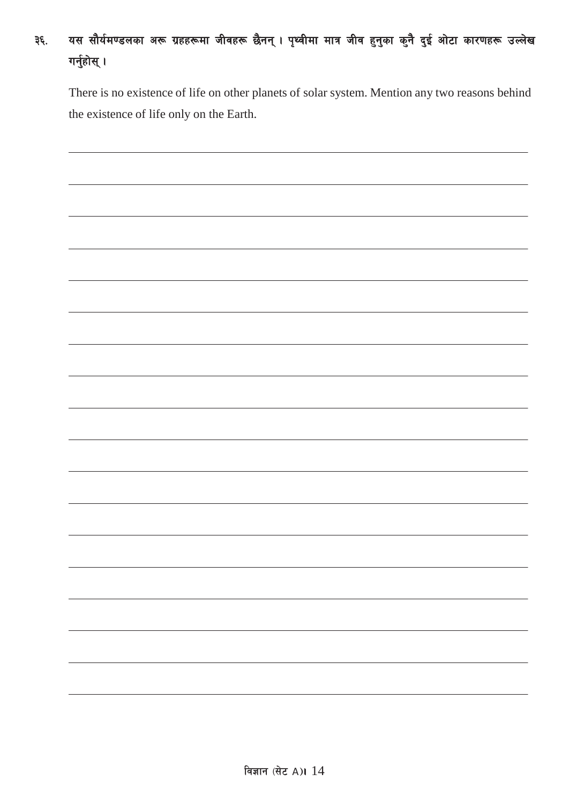# ३६. यस सौर्यमण्डलका अरू ग्रहहरूमा जीवहरू छैनन् । पृथ्वीमा मात्र जीव हुनुका कुनै दुई ओटा कारणहरू उल्लेख गर्नुहोस् $\,$ ।

There is no existence of life on other planets of solar system. Mention any two reasons behind the existence of life only on the Earth.

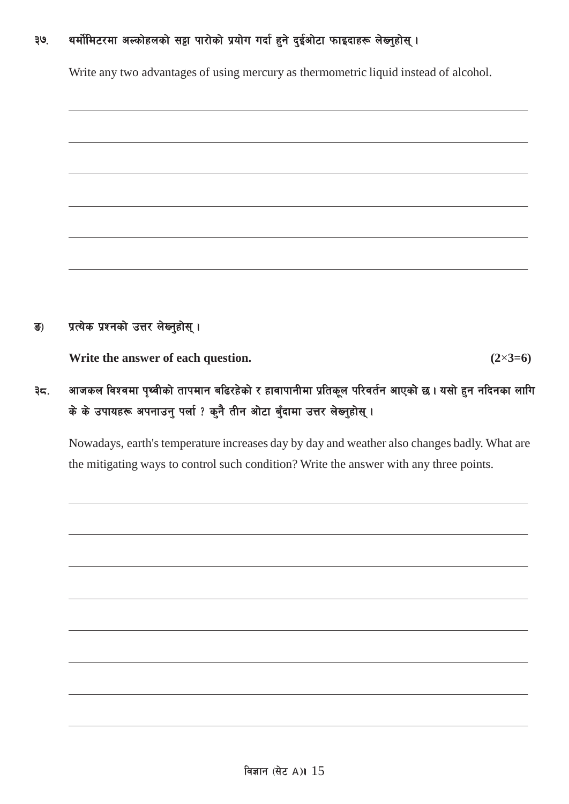## ३७. थर्मोमिटरमा अल्कोहलको सट्टा पारोको प्रयोग गर्दा हुने दुईओटा फाइदाहरू लेख्नुहोस् ।

Write any two advantages of using mercury as thermometric liquid instead of alcohol.



ङ) प्रत्येक प्रश्नको उत्तर लेख्नुहोस् ।

**Write the answer of each question.**  $(2 \times 3=6)$ 

## ३८. अाजकल विश्वमा पृथ्वीको तापमान बढिरहेको र हावापानीमा प्रतिकूल परिवर्तन आएको छ । यसो हुन नदिनका लागि के के उपायहरू अपनाउनु पर्ला ? कुनै तीन ओटा बुँदामा उत्तर लेख्नुहोस् ।

Nowadays, earth's temperature increases day by day and weather also changes badly. What are the mitigating ways to control such condition? Write the answer with any three points.